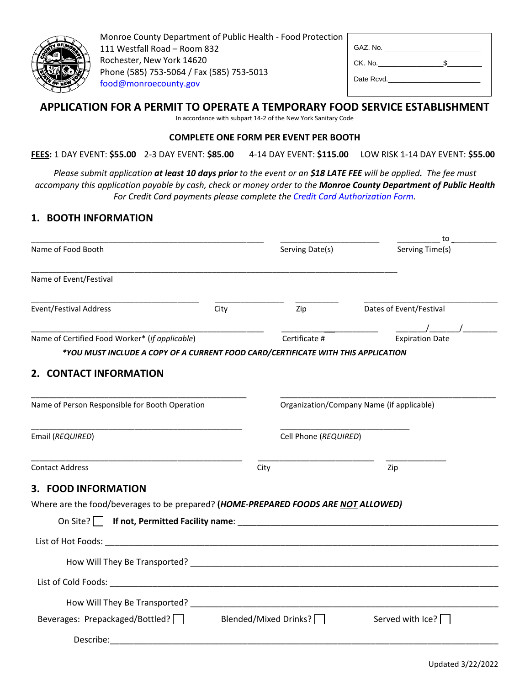

Monroe County Department of Public Health - Food Protection 111 Westfall Road – Room 832 Rochester, New York 14620 Phone (585) 753-5064 / Fax (585) 753-5013 [food@monroecounty.gov](mailto:food@monroecounty.gov)

| GAZ. No.   |  |
|------------|--|
| CK. No.    |  |
| Date Rcvd. |  |

# **APPLICATION FOR A PERMIT TO OPERATE A TEMPORARY FOOD SERVICE ESTABLISHMENT**

In accordance with subpart 14-2 of the New York Sanitary Code

#### **COMPLETE ONE FORM PER EVENT PER BOOTH**

**FEES:** 1 DAY EVENT: **\$55.00** 2-3 DAY EVENT: **\$85.00** 4-14 DAY EVENT: **\$115.00** LOW RISK 1-14 DAY EVENT: **\$55.00**

*Please submit application at least 10 days prior to the event or an \$18 LATE FEE will be applied. The fee must accompany this application payable by cash, check or money order to the Monroe County Department of Public Health For Credit Card payments please complete the [Credit Card Authorization Form.](https://www.monroecounty.gov/files/health/eh/food/CCAuth.pdf)*

# **1. BOOTH INFORMATION**

|                                                                                                                      |                              |                                           | to                      |
|----------------------------------------------------------------------------------------------------------------------|------------------------------|-------------------------------------------|-------------------------|
| Name of Food Booth                                                                                                   |                              | Serving Date(s)                           | Serving Time(s)         |
| Name of Event/Festival                                                                                               |                              |                                           |                         |
| <b>Event/Festival Address</b>                                                                                        | City                         | Zip                                       | Dates of Event/Festival |
| Name of Certified Food Worker* (if applicable)                                                                       |                              | Certificate #                             | <b>Expiration Date</b>  |
| *YOU MUST INCLUDE A COPY OF A CURRENT FOOD CARD/CERTIFICATE WITH THIS APPLICATION                                    |                              |                                           |                         |
| 2. CONTACT INFORMATION                                                                                               |                              |                                           |                         |
| Name of Person Responsible for Booth Operation                                                                       |                              | Organization/Company Name (if applicable) |                         |
| Email (REQUIRED)                                                                                                     |                              | Cell Phone (REQUIRED)                     |                         |
| <b>Contact Address</b>                                                                                               | City                         |                                           | Zip                     |
| 3. FOOD INFORMATION                                                                                                  |                              |                                           |                         |
| Where are the food/beverages to be prepared? (HOME-PREPARED FOODS ARE NOT ALLOWED)                                   |                              |                                           |                         |
|                                                                                                                      |                              |                                           |                         |
|                                                                                                                      |                              |                                           |                         |
|                                                                                                                      |                              |                                           |                         |
|                                                                                                                      |                              |                                           |                         |
| How Will They Be Transported? New York Changes and the United States and the United States and the United States and |                              |                                           |                         |
| Beverages: Prepackaged/Bottled?                                                                                      | Blended/Mixed Drinks? $\Box$ |                                           | Served with Ice?        |
| Describe:                                                                                                            |                              |                                           |                         |